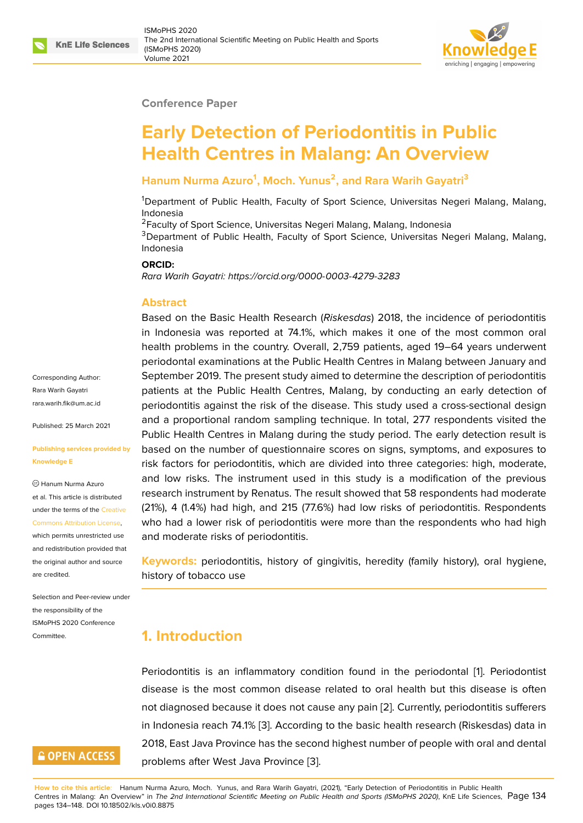#### **Conference Paper**

# **Early Detection of Periodontitis in Public Health Centres in Malang: An Overview**

#### **Hanum Nurma Azuro<sup>1</sup> , Moch. Yunus<sup>2</sup> , and Rara Warih Gayatri<sup>3</sup>**

<sup>1</sup>Department of Public Health, Faculty of Sport Science, Universitas Negeri Malang, Malang, Indonesia

<sup>2</sup> Faculty of Sport Science, Universitas Negeri Malang, Malang, Indonesia

<sup>3</sup>Department of Public Health, Faculty of Sport Science, Universitas Negeri Malang, Malang, Indonesia

#### **ORCID:**

*Rara Warih Gayatri: https://orcid.org/0000-0003-4279-3283*

#### **Abstract**

Based on the Basic Health Research (*Riskesdas*) 2018, the incidence of periodontitis in Indonesia was [reported at 74.1%, which makes it o](https://orcid.org/0000-0003-4279-3283)ne of the most common oral health problems in the country. Overall, 2,759 patients, aged 19–64 years underwent periodontal examinations at the Public Health Centres in Malang between January and September 2019. The present study aimed to determine the description of periodontitis patients at the Public Health Centres, Malang, by conducting an early detection of periodontitis against the risk of the disease. This study used a cross-sectional design and a proportional random sampling technique. In total, 277 respondents visited the Public Health Centres in Malang during the study period. The early detection result is based on the number of questionnaire scores on signs, symptoms, and exposures to risk factors for periodontitis, which are divided into three categories: high, moderate, and low risks. The instrument used in this study is a modification of the previous research instrument by Renatus. The result showed that 58 respondents had moderate (21%), 4 (1.4%) had high, and 215 (77.6%) had low risks of periodontitis. Respondents who had a lower risk of periodontitis were more than the respondents who had high and moderate risks of periodontitis.

**Keywords:** periodontitis, history of gingivitis, heredity (family history), oral hygiene, history of tobacco use

# **1. Introduction**

Periodontitis is an inflammatory condition found in the periodontal [1]. Periodontist disease is the most common disease related to oral health but this disease is often not diagnosed because it does not cause any pain [2]. Currently, periodontitis sufferers in Indonesia reach 74.1% [3]. According to the basic health research (Ris[k](#page-12-0)esdas) data in 2018, East Java Province has the second highest number of people with oral and dental problems after West Java Province [3].

**How to cite this article**: Hanum Nurma Azuro, Moch. Yunus, and Rara Warih Gayatri, (2021), "Early Detection of Periodontitis in Public Health Centres in Malang: An Overview" in *The 2nd International Scientific Meeting on Public Health and Sports (ISMoPHS 2020)*, KnE Life Sciences, Page 134 pages 134–148. DOI 10.18502/kls.v0i0.8875

Corresponding Author: Rara Warih Gayatri rara.warih.fik@um.ac.id

Published: 25 March 2021

#### **[Publishing services pro](mailto:rara.warih.fik@um.ac.id)vided by Knowledge E**

Hanum Nurma Azuro et al. This article is distributed under the terms of the Creative Commons Attribution License,

which permits unrestricted use and redistribution provided that the original author and [source](https://creativecommons.org/licenses/by/4.0/) [are credited.](https://creativecommons.org/licenses/by/4.0/)

Selection and Peer-review under the responsibility of the ISMoPHS 2020 Conference Committee.

# **GOPEN ACCESS**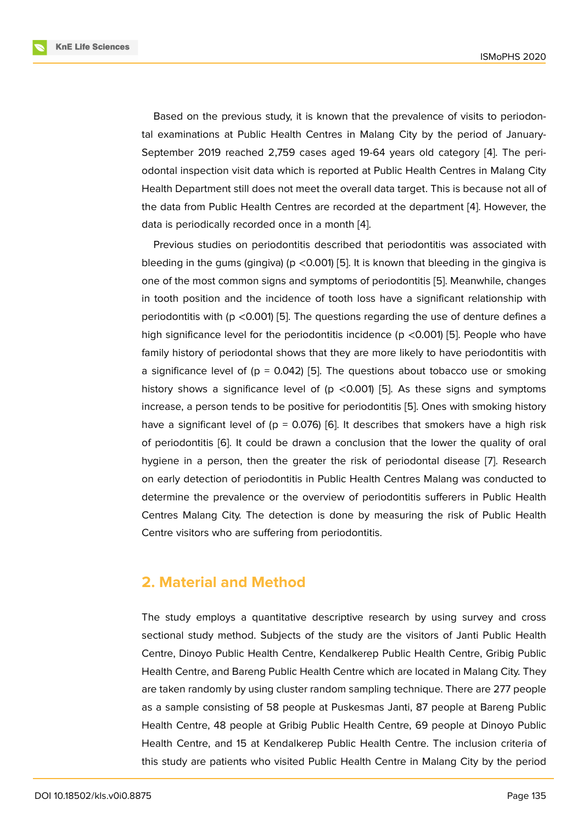Based on the previous study, it is known that the prevalence of visits to periodontal examinations at Public Health Centres in Malang City by the period of January-September 2019 reached 2,759 cases aged 19-64 years old category [4]. The periodontal inspection visit data which is reported at Public Health Centres in Malang City Health Department still does not meet the overall data target. This is because not all of the data from Public Health Centres are recorded at the department [4]. [Ho](#page-12-1)wever, the data is periodically recorded once in a month [4].

Previous studies on periodontitis described that periodontitis was associated with bleeding [in](#page-12-1) the gums (gingiva) ( $p < 0.001$ ) [5]. It is known that bleeding in the gingiva is one of the most common signs and symptoms [o](#page-12-1)f periodontitis [5]. Meanwhile, changes in tooth position and the incidence of tooth loss have a significant relationship with periodontitis with ( $p$  <0.001) [5]. The ques[tio](#page-13-0)ns regarding the use of denture defines a high significance level for the periodontitis incidence ( $p$  <0.0[01\)](#page-13-0) [5]. People who have family history of periodontal shows that they are more likely to have periodontitis with a significance level of ( $p = 0.042$  $p = 0.042$  $p = 0.042$ ) [5]. The questions about tobacco use or smoking history shows a [sig](#page-13-0)nificance level of ( $p \le 0.001$ ) [5]. As these signs and symptoms increase, a person tends to be positive for periodontitis [5]. Ones with smoking history have a significant level of ( $p = 0.076$  $p = 0.076$ ) [6]. It describes that smokers have a high risk of periodontitis [6]. It could be drawn a conclusio[n](#page-13-0) that the lower the quality of oral hygiene in a person, then the greater the risk of peri[od](#page-13-0)ontal disease [7]. Research on early detection of periodontitis in P[ub](#page-13-1)lic Health Centres Malang was conducted to determine the p[re](#page-13-1)valence or the overview of periodontitis sufferers in Public Health Centres Malang City. The detection is done by measuring the risk of [Pu](#page-13-2)blic Health Centre visitors who are suffering from periodontitis.

### **2. Material and Method**

The study employs a quantitative descriptive research by using survey and cross sectional study method. Subjects of the study are the visitors of Janti Public Health Centre, Dinoyo Public Health Centre, Kendalkerep Public Health Centre, Gribig Public Health Centre, and Bareng Public Health Centre which are located in Malang City. They are taken randomly by using cluster random sampling technique. There are 277 people as a sample consisting of 58 people at Puskesmas Janti, 87 people at Bareng Public Health Centre, 48 people at Gribig Public Health Centre, 69 people at Dinoyo Public Health Centre, and 15 at Kendalkerep Public Health Centre. The inclusion criteria of this study are patients who visited Public Health Centre in Malang City by the period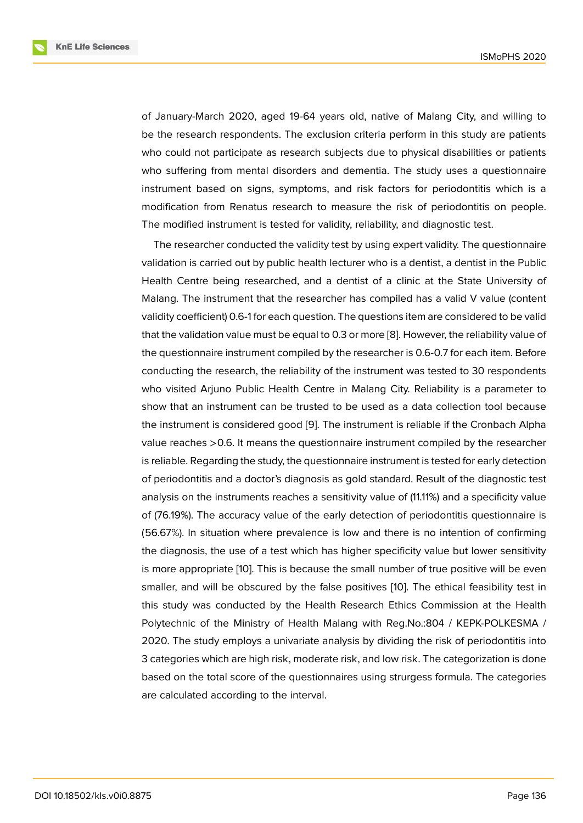of January-March 2020, aged 19-64 years old, native of Malang City, and willing to be the research respondents. The exclusion criteria perform in this study are patients who could not participate as research subjects due to physical disabilities or patients who suffering from mental disorders and dementia. The study uses a questionnaire instrument based on signs, symptoms, and risk factors for periodontitis which is a modification from Renatus research to measure the risk of periodontitis on people. The modified instrument is tested for validity, reliability, and diagnostic test.

The researcher conducted the validity test by using expert validity. The questionnaire validation is carried out by public health lecturer who is a dentist, a dentist in the Public Health Centre being researched, and a dentist of a clinic at the State University of Malang. The instrument that the researcher has compiled has a valid V value (content validity coefficient) 0.6-1 for each question. The questions item are considered to be valid that the validation value must be equal to 0.3 or more [8]. However, the reliability value of the questionnaire instrument compiled by the researcher is 0.6-0.7 for each item. Before conducting the research, the reliability of the instrument was tested to 30 respondents who visited Arjuno Public Health Centre in Malang [C](#page-13-3)ity. Reliability is a parameter to show that an instrument can be trusted to be used as a data collection tool because the instrument is considered good [9]. The instrument is reliable if the Cronbach Alpha value reaches >0.6. It means the questionnaire instrument compiled by the researcher is reliable. Regarding the study, the questionnaire instrument is tested for early detection of periodontitis and a doctor's diag[no](#page-13-4)sis as gold standard. Result of the diagnostic test analysis on the instruments reaches a sensitivity value of (11.11%) and a specificity value of (76.19%). The accuracy value of the early detection of periodontitis questionnaire is (56.67%). In situation where prevalence is low and there is no intention of confirming the diagnosis, the use of a test which has higher specificity value but lower sensitivity is more appropriate [10]. This is because the small number of true positive will be even smaller, and will be obscured by the false positives [10]. The ethical feasibility test in this study was conducted by the Health Research Ethics Commission at the Health Polytechnic of the [Min](#page-13-5)istry of Health Malang with Reg.No.:804 / KEPK-POLKESMA / 2020. The study employs a univariate analysis by div[idin](#page-13-5)g the risk of periodontitis into 3 categories which are high risk, moderate risk, and low risk. The categorization is done based on the total score of the questionnaires using strurgess formula. The categories are calculated according to the interval.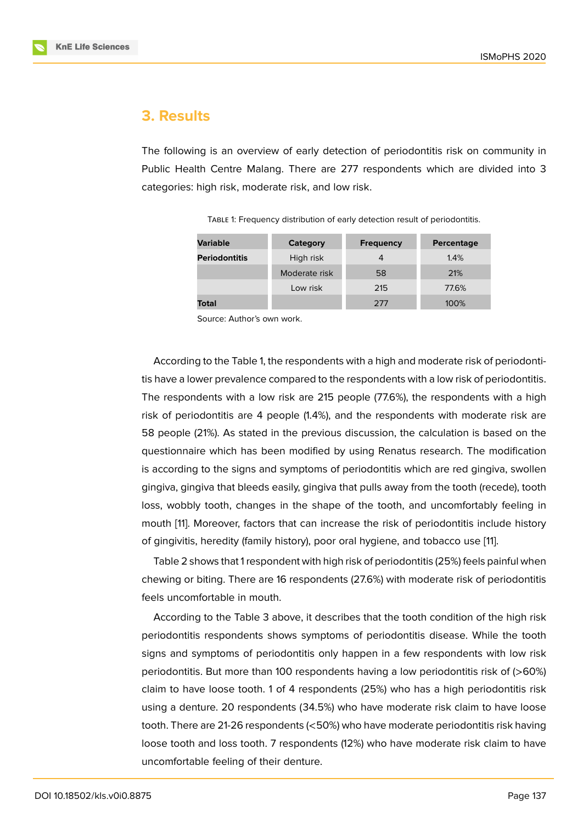# **3. Results**

The following is an overview of early detection of periodontitis risk on community in Public Health Centre Malang. There are 277 respondents which are divided into 3 categories: high risk, moderate risk, and low risk.

| <b>Variable</b>      | Category      | <b>Frequency</b> | Percentage |
|----------------------|---------------|------------------|------------|
| <b>Periodontitis</b> | High risk     | 4                | 1.4%       |
|                      | Moderate risk | 58               | 21%        |
|                      | Low risk      | 215              | 77.6%      |
| Total                |               | 277              | 100%       |

TABLE 1: Frequency distribution of early detection result of periodontitis.

Source: Author's own work.

According to the Table 1, the respondents with a high and moderate risk of periodontitis have a lower prevalence compared to the respondents with a low risk of periodontitis. The respondents with a low risk are 215 people (77.6%), the respondents with a high risk of periodontitis are 4 people (1.4%), and the respondents with moderate risk are 58 people (21%). As stated in the previous discussion, the calculation is based on the questionnaire which has been modified by using Renatus research. The modification is according to the signs and symptoms of periodontitis which are red gingiva, swollen gingiva, gingiva that bleeds easily, gingiva that pulls away from the tooth (recede), tooth loss, wobbly tooth, changes in the shape of the tooth, and uncomfortably feeling in mouth [11]. Moreover, factors that can increase the risk of periodontitis include history of gingivitis, heredity (family history), poor oral hygiene, and tobacco use [11].

Table 2 shows that 1 respondent with high risk of periodontitis (25%) feels painful when chewin[g o](#page-13-6)r biting. There are 16 respondents (27.6%) with moderate risk of periodontitis feels uncomfortable in mouth.

According to the Table 3 above, it describes that the tooth condition of the high risk periodontitis respondents shows symptoms of periodontitis disease. While the tooth signs and symptoms of periodontitis only happen in a few respondents with low risk periodontitis. But more than 100 respondents having a low periodontitis risk of (>60%) claim to have loose tooth. 1 of 4 respondents (25%) who has a high periodontitis risk using a denture. 20 respondents (34.5%) who have moderate risk claim to have loose tooth. There are 21-26 respondents (<50%) who have moderate periodontitis risk having loose tooth and loss tooth. 7 respondents (12%) who have moderate risk claim to have uncomfortable feeling of their denture.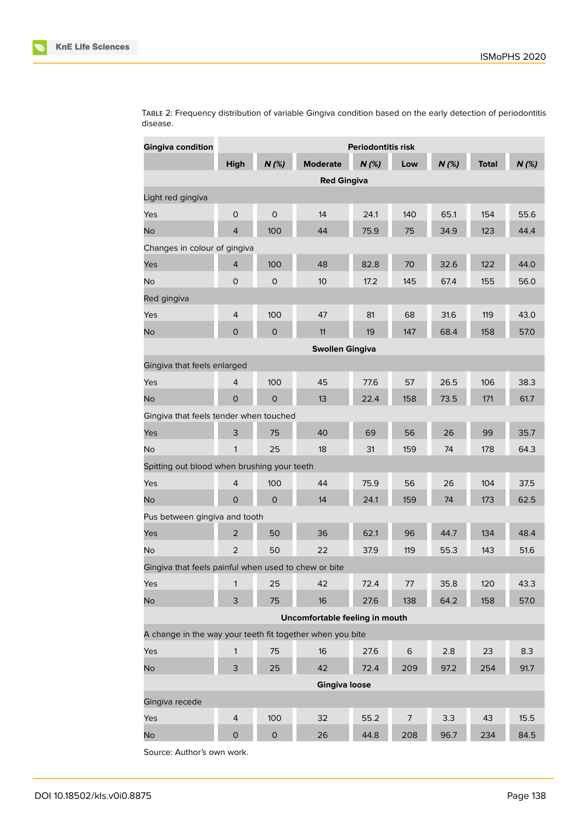

| <b>Gingiva condition</b>                                  | <b>Periodontitis risk</b> |              |                                |         |                |      |              |      |
|-----------------------------------------------------------|---------------------------|--------------|--------------------------------|---------|----------------|------|--------------|------|
|                                                           | High                      | N(%)         | <b>Moderate</b>                | $N$ (%) | Low            | N(%) | <b>Total</b> | N(%) |
|                                                           |                           |              | <b>Red Gingiva</b>             |         |                |      |              |      |
| Light red gingiva                                         |                           |              |                                |         |                |      |              |      |
| Yes                                                       | $\mathsf{O}\xspace$       | $\mathsf{O}$ | 14                             | 24.1    | 140            | 65.1 | 154          | 55.6 |
| <b>No</b>                                                 | $\overline{4}$            | 100          | 44                             | 75.9    | 75             | 34.9 | 123          | 44.4 |
| Changes in colour of gingiva                              |                           |              |                                |         |                |      |              |      |
| Yes                                                       | $\overline{4}$            | 100          | 48                             | 82.8    | 70             | 32.6 | 122          | 44.0 |
| <b>No</b>                                                 | $\circ$                   | 0            | 10 <sup>°</sup>                | 17.2    | 145            | 67.4 | 155          | 56.0 |
| Red gingiva                                               |                           |              |                                |         |                |      |              |      |
| Yes                                                       | $\overline{4}$            | 100          | 47                             | 81      | 68             | 31.6 | 119          | 43.0 |
| <b>No</b>                                                 | $\mathsf{O}$              | $\mathsf{O}$ | 11                             | 19      | 147            | 68.4 | 158          | 57.0 |
|                                                           |                           |              | <b>Swollen Gingiva</b>         |         |                |      |              |      |
| Gingiva that feels enlarged                               |                           |              |                                |         |                |      |              |      |
| Yes                                                       | $\overline{4}$            | 100          | 45                             | 77.6    | 57             | 26.5 | 106          | 38.3 |
| <b>No</b>                                                 | $\mathsf{O}$              | $\circ$      | 13                             | 22.4    | 158            | 73.5 | 171          | 61.7 |
| Gingiva that feels tender when touched                    |                           |              |                                |         |                |      |              |      |
| Yes                                                       | 3                         | 75           | 40                             | 69      | 56             | 26   | 99           | 35.7 |
| <b>No</b>                                                 | 1                         | 25           | 18                             | 31      | 159            | 74   | 178          | 64.3 |
| Spitting out blood when brushing your teeth               |                           |              |                                |         |                |      |              |      |
| Yes                                                       | $\overline{4}$            | 100          | 44                             | 75.9    | 56             | 26   | 104          | 37.5 |
| <b>No</b>                                                 | $\mathbf{O}$              | $\circ$      | 14                             | 24.1    | 159            | 74   | 173          | 62.5 |
| Pus between gingiva and tooth                             |                           |              |                                |         |                |      |              |      |
| Yes                                                       | $\overline{2}$            | 50           | 36                             | 62.1    | 96             | 44.7 | 134          | 48.4 |
| <b>No</b>                                                 | $\overline{2}$            | 50           | 22                             | 37.9    | 119            | 55.3 | 143          | 51.6 |
| Gingiva that feels painful when used to chew or bite      |                           |              |                                |         |                |      |              |      |
| Yes                                                       | $\mathbf{1}$              | 25           | 42                             | 72.4    | $77\,$         | 35.8 | 120          | 43.3 |
| <b>No</b>                                                 | 3                         | 75           | 16                             | 27.6    | 138            | 64.2 | 158          | 57.0 |
|                                                           |                           |              | Uncomfortable feeling in mouth |         |                |      |              |      |
| A change in the way your teeth fit together when you bite |                           |              |                                |         |                |      |              |      |
| Yes                                                       | 1                         | 75           | 16                             | 27.6    | 6              | 2.8  | 23           | 8.3  |
| No                                                        | 3                         | 25           | 42                             | 72.4    | 209            | 97.2 | 254          | 91.7 |
|                                                           |                           |              | <b>Gingiva loose</b>           |         |                |      |              |      |
| Gingiva recede                                            |                           |              |                                |         |                |      |              |      |
| Yes                                                       | $\overline{4}$            | 100          | 32                             | 55.2    | $\overline{7}$ | 3.3  | 43           | 15.5 |
| <b>No</b>                                                 | $\mathsf{O}\xspace$       | $\mathsf O$  | 26                             | 44.8    | 208            | 96.7 | 234          | 84.5 |

TABLE 2: Frequency distribution of variable Gingiva condition based on the early detection of periodontitis disease.

Source: Author's own work.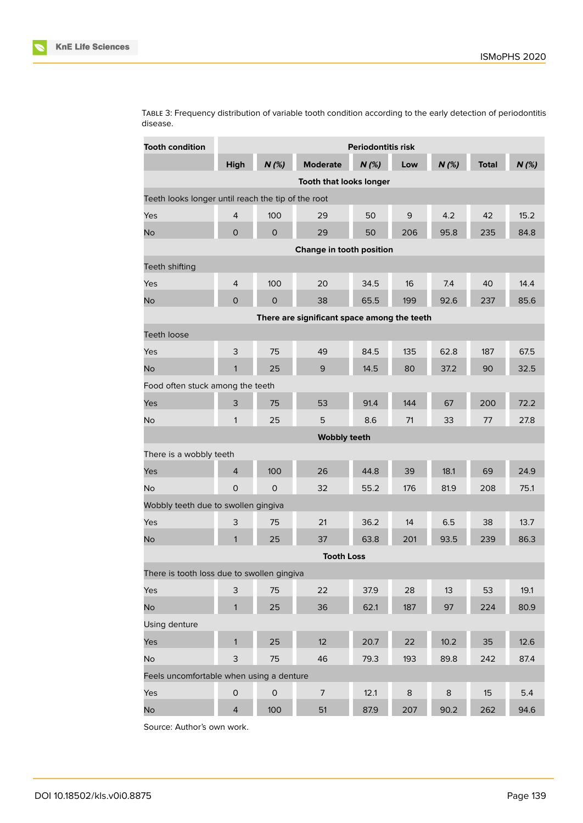

| <b>Tooth condition</b>                             | <b>Periodontitis risk</b> |                     |                                             |      |         |         |              |      |  |
|----------------------------------------------------|---------------------------|---------------------|---------------------------------------------|------|---------|---------|--------------|------|--|
|                                                    | High                      | N(%)                | <b>Moderate</b>                             | N(%) | Low     | N(%)    | <b>Total</b> | N(%) |  |
|                                                    |                           |                     | <b>Tooth that looks longer</b>              |      |         |         |              |      |  |
| Teeth looks longer until reach the tip of the root |                           |                     |                                             |      |         |         |              |      |  |
| Yes                                                | $\overline{4}$            | 100                 | 29                                          | 50   | 9       | 4.2     | 42           | 15.2 |  |
| <b>No</b>                                          | $\mathsf{O}$              | $\mathbf 0$         | 29                                          | 50   | 206     | 95.8    | 235          | 84.8 |  |
| Change in tooth position                           |                           |                     |                                             |      |         |         |              |      |  |
| Teeth shifting                                     |                           |                     |                                             |      |         |         |              |      |  |
| Yes                                                | $\overline{4}$            | 100                 | 20                                          | 34.5 | 16      | 7.4     | 40           | 14.4 |  |
| <b>No</b>                                          | $\mathsf{O}$              | 0                   | 38                                          | 65.5 | 199     | 92.6    | 237          | 85.6 |  |
|                                                    |                           |                     | There are significant space among the teeth |      |         |         |              |      |  |
| <b>Teeth loose</b>                                 |                           |                     |                                             |      |         |         |              |      |  |
| Yes                                                | 3                         | 75                  | 49                                          | 84.5 | 135     | 62.8    | 187          | 67.5 |  |
| <b>No</b>                                          | $\mathbf{1}$              | 25                  | 9                                           | 14.5 | 80      | 37.2    | 90           | 32.5 |  |
| Food often stuck among the teeth                   |                           |                     |                                             |      |         |         |              |      |  |
| Yes                                                | 3                         | 75                  | 53                                          | 91.4 | 144     | 67      | 200          | 72.2 |  |
| <b>No</b>                                          | $\mathbf{1}$              | 25                  | 5                                           | 8.6  | 71      | 33      | 77           | 27.8 |  |
|                                                    |                           |                     | <b>Wobbly teeth</b>                         |      |         |         |              |      |  |
| There is a wobbly teeth                            |                           |                     |                                             |      |         |         |              |      |  |
| Yes                                                | 4                         | 100                 | 26                                          | 44.8 | 39      | 18.1    | 69           | 24.9 |  |
| <b>No</b>                                          | $\circ$                   | $\Omega$            | 32                                          | 55.2 | 176     | 81.9    | 208          | 75.1 |  |
| Wobbly teeth due to swollen gingiva                |                           |                     |                                             |      |         |         |              |      |  |
| Yes                                                | 3                         | 75                  | 21                                          | 36.2 | 14      | 6.5     | 38           | 13.7 |  |
| <b>No</b>                                          | $\mathbf{1}$              | 25                  | 37                                          | 63.8 | 201     | 93.5    | 239          | 86.3 |  |
|                                                    |                           |                     | <b>Tooth Loss</b>                           |      |         |         |              |      |  |
| There is tooth loss due to swollen gingiva         |                           |                     |                                             |      |         |         |              |      |  |
| Yes                                                | 3                         | 75                  | 22                                          | 37.9 | 28      | 13      | 53           | 19.1 |  |
| <b>No</b>                                          | $\mathbf{1}$              | 25                  | 36                                          | 62.1 | 187     | 97      | 224          | 80.9 |  |
| Using denture                                      |                           |                     |                                             |      |         |         |              |      |  |
| Yes                                                | $\mathbf{1}$              | 25                  | 12                                          | 20.7 | 22      | 10.2    | 35           | 12.6 |  |
| No                                                 | $\mathsf 3$               | 75                  | 46                                          | 79.3 | 193     | 89.8    | 242          | 87.4 |  |
| Feels uncomfortable when using a denture           |                           |                     |                                             |      |         |         |              |      |  |
| Yes                                                | $\mathsf O$               | $\mathsf{O}\xspace$ | $\overline{7}$                              | 12.1 | $\,8\,$ | $\bf 8$ | 15           | 5.4  |  |
| <b>No</b>                                          | $\overline{4}$            | 100                 | 51                                          | 87.9 | 207     | 90.2    | 262          | 94.6 |  |

TABLE 3: Frequency distribution of variable tooth condition according to the early detection of periodontitis disease.

Source: Author's own work.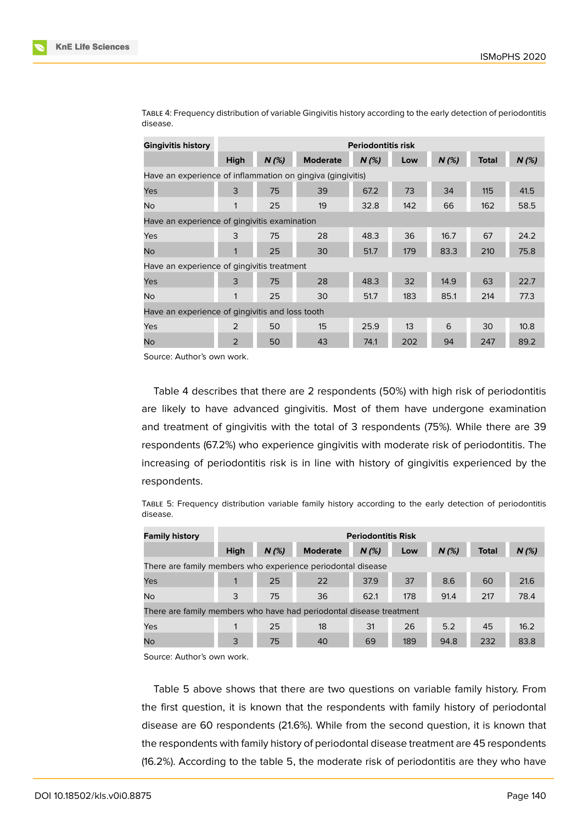| <b>Gingivitis history</b>                                  | <b>Periodontitis risk</b> |         |                 |         |     |         |              |         |
|------------------------------------------------------------|---------------------------|---------|-----------------|---------|-----|---------|--------------|---------|
|                                                            | <b>High</b>               | $N$ (%) | <b>Moderate</b> | $N$ (%) | Low | $N$ (%) | <b>Total</b> | $N$ (%) |
| Have an experience of inflammation on gingiva (gingivitis) |                           |         |                 |         |     |         |              |         |
| Yes                                                        | 3                         | 75      | 39              | 67.2    | 73  | 34      | 115          | 41.5    |
| <b>No</b>                                                  | 1                         | 25      | 19              | 32.8    | 142 | 66      | 162          | 58.5    |
| Have an experience of gingivitis examination               |                           |         |                 |         |     |         |              |         |
| Yes                                                        | 3                         | 75      | 28              | 48.3    | 36  | 16.7    | 67           | 24.2    |
| <b>No</b>                                                  | 1                         | 25      | 30              | 51.7    | 179 | 83.3    | 210          | 75.8    |
| Have an experience of gingivitis treatment                 |                           |         |                 |         |     |         |              |         |
| Yes                                                        | 3                         | 75      | 28              | 48.3    | 32  | 14.9    | 63           | 22.7    |
| <b>No</b>                                                  | 1                         | 25      | 30              | 51.7    | 183 | 85.1    | 214          | 77.3    |
| Have an experience of gingivitis and loss tooth            |                           |         |                 |         |     |         |              |         |
| Yes                                                        | $\mathcal{P}$             | 50      | 15              | 25.9    | 13  | 6       | 30           | 10.8    |
| No                                                         | $\overline{2}$            | 50      | 43              | 74.1    | 202 | 94      | 247          | 89.2    |

TABLE 4: Frequency distribution of variable Gingivitis history according to the early detection of periodontitis disease.

Source: Author's own work.

Table 4 describes that there are 2 respondents (50%) with high risk of periodontitis are likely to have advanced gingivitis. Most of them have undergone examination and treatment of gingivitis with the total of 3 respondents (75%). While there are 39 respondents (67.2%) who experience gingivitis with moderate risk of periodontitis. The increasing of periodontitis risk is in line with history of gingivitis experienced by the respondents.

TABLE 5: Frequency distribution variable family history according to the early detection of periodontitis disease.

| <b>Family history</b>                                               | <b>Periodontitis Risk</b> |      |                 |      |     |         |              |         |
|---------------------------------------------------------------------|---------------------------|------|-----------------|------|-----|---------|--------------|---------|
|                                                                     | <b>High</b>               | N(%) | <b>Moderate</b> | N(%) | Low | $N$ (%) | <b>Total</b> | $N$ (%) |
| There are family members who experience periodontal disease         |                           |      |                 |      |     |         |              |         |
| Yes                                                                 |                           | 25   | 22              | 37.9 | 37  | 8.6     | 60           | 21.6    |
| <b>No</b>                                                           | 3                         | 75   | 36              | 62.1 | 178 | 91.4    | 217          | 78.4    |
| There are family members who have had periodontal disease treatment |                           |      |                 |      |     |         |              |         |
| Yes                                                                 |                           | 25   | 18              | 31   | 26  | 5.2     | 45           | 16.2    |
| <b>No</b>                                                           | 3                         | 75   | 40              | 69   | 189 | 94.8    | 232          | 83.8    |

Source: Author's own work.

Table 5 above shows that there are two questions on variable family history. From the first question, it is known that the respondents with family history of periodontal disease are 60 respondents (21.6%). While from the second question, it is known that the respondents with family history of periodontal disease treatment are 45 respondents (16.2%). According to the table 5, the moderate risk of periodontitis are they who have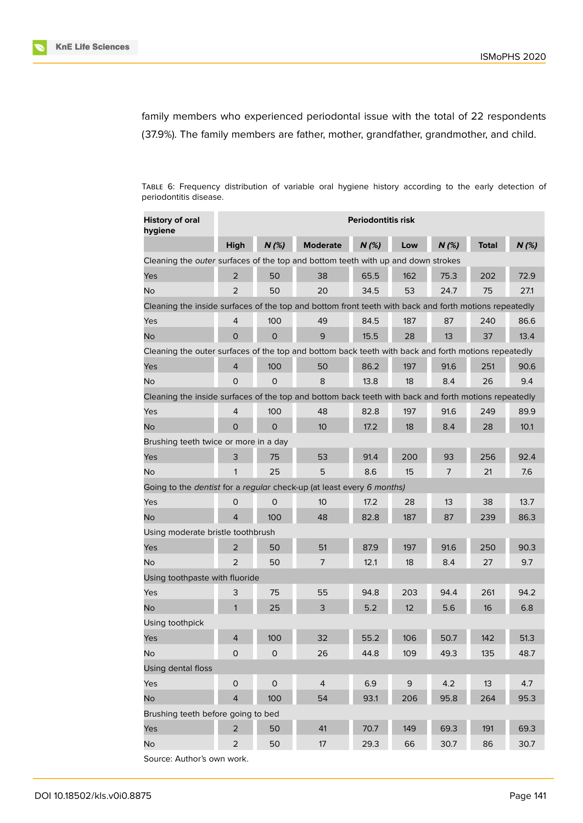



family members who experienced periodontal issue with the total of 22 respondents (37.9%). The family members are father, mother, grandfather, grandmother, and child.

TABLE 6: Frequency distribution of variable oral hygiene history according to the early detection of periodontitis disease.

| <b>History of oral</b><br>hygiene                                                                     | <b>Periodontitis risk</b> |                     |                 |      |                 |      |              |      |
|-------------------------------------------------------------------------------------------------------|---------------------------|---------------------|-----------------|------|-----------------|------|--------------|------|
|                                                                                                       | <b>High</b>               | $N$ (%)             | <b>Moderate</b> | N(%) | Low             | N(%) | <b>Total</b> | N(%) |
| Cleaning the outer surfaces of the top and bottom teeth with up and down strokes                      |                           |                     |                 |      |                 |      |              |      |
| Yes                                                                                                   | $\overline{2}$            | 50                  | 38              | 65.5 | 162             | 75.3 | 202          | 72.9 |
| No                                                                                                    | $\overline{2}$            | 50                  | 20              | 34.5 | 53              | 24.7 | 75           | 27.1 |
| Cleaning the inside surfaces of the top and bottom front teeth with back and forth motions repeatedly |                           |                     |                 |      |                 |      |              |      |
| Yes                                                                                                   | 4                         | 100                 | 49              | 84.5 | 187             | 87   | 240          | 86.6 |
| No                                                                                                    | 0                         | $\Omega$            | 9               | 15.5 | 28              | 13   | 37           | 13.4 |
| Cleaning the outer surfaces of the top and bottom back teeth with back and forth motions repeatedly   |                           |                     |                 |      |                 |      |              |      |
| Yes                                                                                                   | 4                         | 100                 | 50              | 86.2 | 197             | 91.6 | 251          | 90.6 |
| No                                                                                                    | 0                         | $\Omega$            | 8               | 13.8 | 18              | 8.4  | 26           | 9.4  |
| Cleaning the inside surfaces of the top and bottom back teeth with back and forth motions repeatedly  |                           |                     |                 |      |                 |      |              |      |
| Yes                                                                                                   | 4                         | 100                 | 48              | 82.8 | 197             | 91.6 | 249          | 89.9 |
| No                                                                                                    | 0                         | 0                   | 10              | 17.2 | 18              | 8.4  | 28           | 10.1 |
| Brushing teeth twice or more in a day                                                                 |                           |                     |                 |      |                 |      |              |      |
| Yes                                                                                                   | 3                         | 75                  | 53              | 91.4 | 200             | 93   | 256          | 92.4 |
| <b>No</b>                                                                                             | 1                         | 25                  | 5               | 8.6  | 15              | 7    | 21           | 7.6  |
| Going to the dentist for a regular check-up (at least every 6 months)                                 |                           |                     |                 |      |                 |      |              |      |
| Yes                                                                                                   | 0                         | 0                   | 10              | 17.2 | 28              | 13   | 38           | 13.7 |
| <b>No</b>                                                                                             | 4                         | 100                 | 48              | 82.8 | 187             | 87   | 239          | 86.3 |
| Using moderate bristle toothbrush                                                                     |                           |                     |                 |      |                 |      |              |      |
| Yes                                                                                                   | 2                         | 50                  | 51              | 87.9 | 197             | 91.6 | 250          | 90.3 |
| <b>No</b>                                                                                             | 2                         | 50                  | 7               | 12.1 | 18              | 8.4  | 27           | 9.7  |
| Using toothpaste with fluoride                                                                        |                           |                     |                 |      |                 |      |              |      |
| Yes                                                                                                   | 3                         | 75                  | 55              | 94.8 | 203             | 94.4 | 261          | 94.2 |
| No                                                                                                    | $\mathbf{1}$              | 25                  | 3               | 5.2  | 12 <sup>2</sup> | 5.6  | 16           | 6.8  |
| Using toothpick                                                                                       |                           |                     |                 |      |                 |      |              |      |
| Yes                                                                                                   | 4                         | 100                 | 32              | 55.2 | 106             | 50.7 | 142          | 51.3 |
| <b>No</b>                                                                                             | $\mathsf{O}\xspace$       | $\circ$             | 26              | 44.8 | 109             | 49.3 | 135          | 48.7 |
| Using dental floss                                                                                    |                           |                     |                 |      |                 |      |              |      |
| Yes                                                                                                   | $\mathsf{O}\xspace$       | $\mathsf{O}\xspace$ | $\overline{4}$  | 6.9  | 9               | 4.2  | 13           | 4.7  |
| <b>No</b>                                                                                             | $\overline{4}$            | 100                 | 54              | 93.1 | 206             | 95.8 | 264          | 95.3 |
| Brushing teeth before going to bed                                                                    |                           |                     |                 |      |                 |      |              |      |
| Yes                                                                                                   | $\overline{c}$            | 50                  | 41              | 70.7 | 149             | 69.3 | 191          | 69.3 |
| No                                                                                                    | $\overline{2}$            | 50                  | 17              | 29.3 | 66              | 30.7 | 86           | 30.7 |
| Source: Author's own work.                                                                            |                           |                     |                 |      |                 |      |              |      |

DOI 10.18502/kls.v0i0.8875 Page 141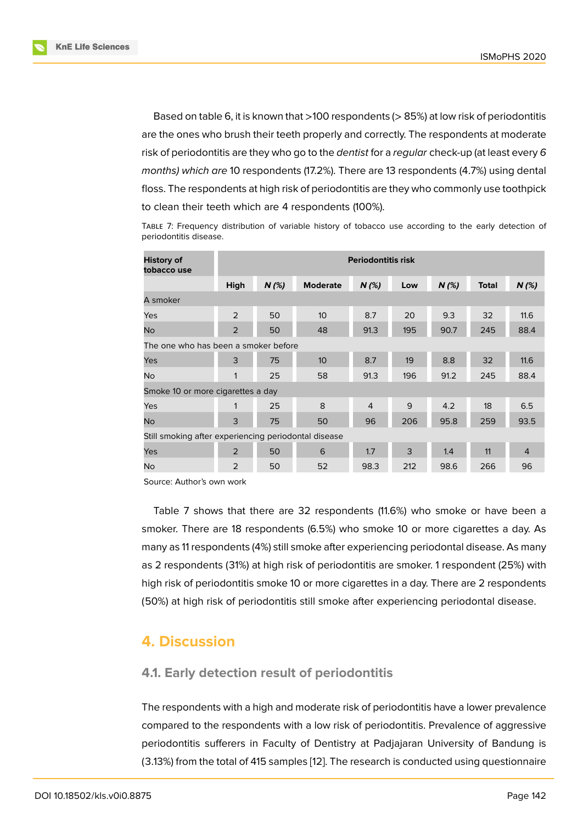Based on table 6, it is known that >100 respondents (> 85%) at low risk of periodontitis are the ones who brush their teeth properly and correctly. The respondents at moderate risk of periodontitis are they who go to the *dentist* for a *regular* check-up (at least every *6 months) which are* 10 respondents (17.2%). There are 13 respondents (4.7%) using dental floss. The respondents at high risk of periodontitis are they who commonly use toothpick to clean their teeth which are 4 respondents (100%).

TABLE 7: Frequency distribution of variable history of tobacco use according to the early detection of periodontitis disease.

| <b>History of</b><br>tobacco use     | <b>Periodontitis risk</b>                            |         |                 |                |     |         |              |                |  |
|--------------------------------------|------------------------------------------------------|---------|-----------------|----------------|-----|---------|--------------|----------------|--|
|                                      | High                                                 | $N$ (%) | <b>Moderate</b> | $N$ (%)        | Low | $N$ (%) | <b>Total</b> | $N$ (%)        |  |
| A smoker                             |                                                      |         |                 |                |     |         |              |                |  |
| Yes                                  | $\overline{2}$                                       | 50      | 10 <sup>°</sup> | 8.7            | 20  | 9.3     | 32           | 11.6           |  |
| <b>No</b>                            | $\overline{2}$                                       | 50      | 48              | 91.3           | 195 | 90.7    | 245          | 88.4           |  |
| The one who has been a smoker before |                                                      |         |                 |                |     |         |              |                |  |
| Yes                                  | 3                                                    | 75      | 10 <sup>°</sup> | 8.7            | 19  | 8.8     | 32           | 11.6           |  |
| No                                   | $\mathbf{1}$                                         | 25      | 58              | 91.3           | 196 | 91.2    | 245          | 88.4           |  |
| Smoke 10 or more cigarettes a day    |                                                      |         |                 |                |     |         |              |                |  |
| Yes                                  | 1                                                    | 25      | 8               | $\overline{4}$ | 9   | 4.2     | 18           | 6.5            |  |
| No                                   | 3                                                    | 75      | 50              | 96             | 206 | 95.8    | 259          | 93.5           |  |
|                                      | Still smoking after experiencing periodontal disease |         |                 |                |     |         |              |                |  |
| Yes                                  | 2                                                    | 50      | 6               | 1.7            | 3   | 1.4     | 11           | $\overline{4}$ |  |
| <b>No</b>                            | 2                                                    | 50      | 52              | 98.3           | 212 | 98.6    | 266          | 96             |  |

Source: Author's own work

Table 7 shows that there are 32 respondents (11.6%) who smoke or have been a smoker. There are 18 respondents (6.5%) who smoke 10 or more cigarettes a day. As many as 11 respondents (4%) still smoke after experiencing periodontal disease. As many as 2 respondents (31%) at high risk of periodontitis are smoker. 1 respondent (25%) with high risk of periodontitis smoke 10 or more cigarettes in a day. There are 2 respondents (50%) at high risk of periodontitis still smoke after experiencing periodontal disease.

# **4. Discussion**

#### **4.1. Early detection result of periodontitis**

The respondents with a high and moderate risk of periodontitis have a lower prevalence compared to the respondents with a low risk of periodontitis. Prevalence of aggressive periodontitis sufferers in Faculty of Dentistry at Padjajaran University of Bandung is (3.13%) from the total of 415 samples [12]. The research is conducted using questionnaire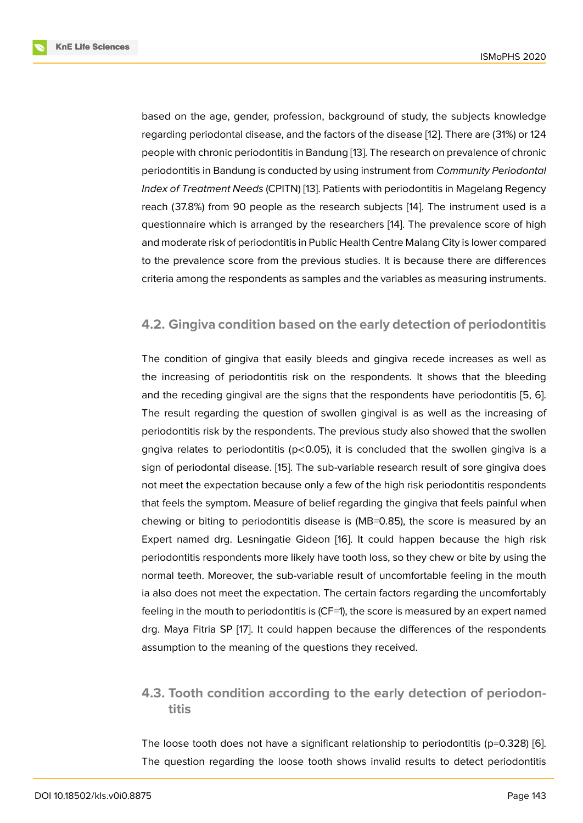based on the age, gender, profession, background of study, the subjects knowledge regarding periodontal disease, and the factors of the disease [12]. There are (31%) or 124 people with chronic periodontitis in Bandung [13]. The research on prevalence of chronic periodontitis in Bandung is conducted by using instrument from *Community Periodontal Index of Treatment Needs* (CPITN) [13]. Patients with periodon[titi](#page-13-7)s in Magelang Regency reach (37.8%) from 90 people as the resear[ch](#page-13-8) subjects [14]. The instrument used is a questionnaire which is arranged by the researchers [14]. The prevalence score of high and moderate risk of periodontitis i[n P](#page-13-8)ublic Health Centre Malang City is lower compared to the prevalence score from the previous studies. It is [bec](#page-13-9)ause there are differences criteria among the respondents as samples and the v[aria](#page-13-9)bles as measuring instruments.

#### **4.2. Gingiva condition based on the early detection of periodontitis**

The condition of gingiva that easily bleeds and gingiva recede increases as well as the increasing of periodontitis risk on the respondents. It shows that the bleeding and the receding gingival are the signs that the respondents have periodontitis [5, 6]. The result regarding the question of swollen gingival is as well as the increasing of periodontitis risk by the respondents. The previous study also showed that the swollen gngiva relates to periodontitis ( $p$ <0.05), it is concluded that the swollen gingiv[a i](#page-13-0)[s a](#page-13-1) sign of periodontal disease. [15]. The sub-variable research result of sore gingiva does not meet the expectation because only a few of the high risk periodontitis respondents that feels the symptom. Measure of belief regarding the gingiva that feels painful when chewing or biting to period[onti](#page-13-10)tis disease is (MB*=*0.85), the score is measured by an Expert named drg. Lesningatie Gideon [16]. It could happen because the high risk periodontitis respondents more likely have tooth loss, so they chew or bite by using the normal teeth. Moreover, the sub-variable result of uncomfortable feeling in the mouth ia also does not meet the expectation. Th[e c](#page-13-11)ertain factors regarding the uncomfortably feeling in the mouth to periodontitis is (CF=1), the score is measured by an expert named drg. Maya Fitria SP [17]. It could happen because the differences of the respondents assumption to the meaning of the questions they received.

### **4.3. Tooth condition according to the early detection of periodontitis**

The loose tooth does not have a significant relationship to periodontitis ( $p=0.328$ ) [6]. The question regarding the loose tooth shows invalid results to detect periodontitis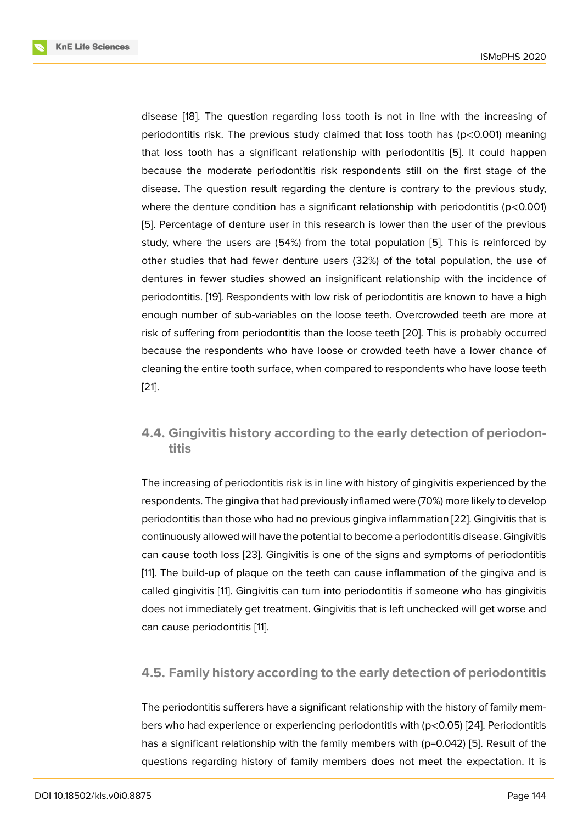disease [18]. The question regarding loss tooth is not in line with the increasing of periodontitis risk. The previous study claimed that loss tooth has (p<0.001) meaning that loss tooth has a significant relationship with periodontitis [5]. It could happen because [th](#page-13-12)e moderate periodontitis risk respondents still on the first stage of the disease. The question result regarding the denture is contrary to the previous study, where the denture condition has a significant relationship with p[erio](#page-13-0)dontitis ( $p$ <0.001) [5]. Percentage of denture user in this research is lower than the user of the previous study, where the users are (54%) from the total population [5]. This is reinforced by other studies that had fewer denture users (32%) of the total population, the use of [de](#page-13-0)ntures in fewer studies showed an insignificant relationship with the incidence of periodontitis. [19]. Respondents with low risk of periodontitis a[re](#page-13-0) known to have a high enough number of sub-variables on the loose teeth. Overcrowded teeth are more at risk of suffering from periodontitis than the loose teeth [20]. This is probably occurred because the r[es](#page-14-0)pondents who have loose or crowded teeth have a lower chance of cleaning the entire tooth surface, when compared to respondents who have loose teeth [21].

### **[4.4](#page-14-1). Gingivitis history according to the early detection of periodontitis**

The increasing of periodontitis risk is in line with history of gingivitis experienced by the respondents. The gingiva that had previously inflamed were (70%) more likely to develop periodontitis than those who had no previous gingiva inflammation [22]. Gingivitis that is continuously allowed will have the potential to become a periodontitis disease. Gingivitis can cause tooth loss [23]. Gingivitis is one of the signs and symptoms of periodontitis [11]. The build-up of plaque on the teeth can cause inflammation [of th](#page-14-2)e gingiva and is called gingivitis [11]. Gingivitis can turn into periodontitis if someone who has gingivitis does not immediately [get](#page-14-3) treatment. Gingivitis that is left unchecked will get worse and [ca](#page-13-6)n cause periodontitis [11].

### **4.5. Family history [a](#page-13-6)ccording to the early detection of periodontitis**

The periodontitis sufferers have a significant relationship with the history of family members who had experience or experiencing periodontitis with (p<0.05) [24]. Periodontitis has a significant relationship with the family members with (p=0.042) [5]. Result of the questions regarding history of family members does not meet the expectation. It is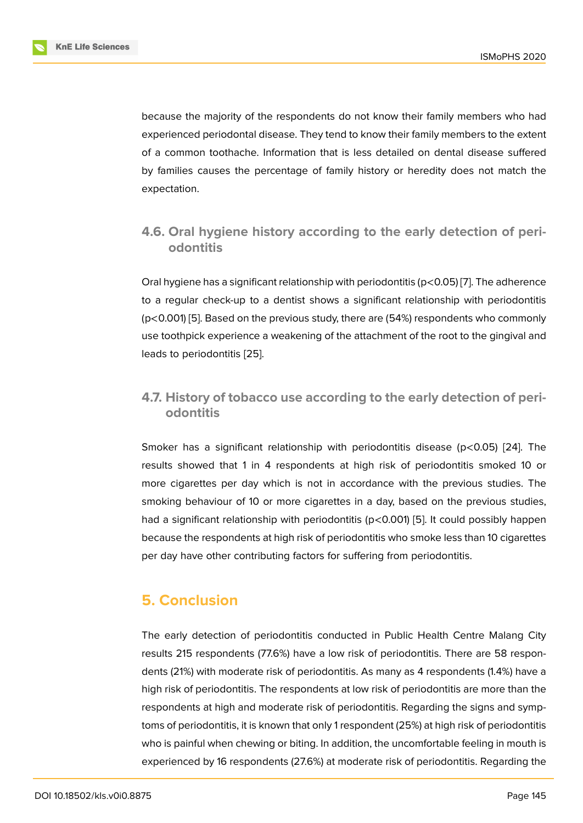because the majority of the respondents do not know their family members who had experienced periodontal disease. They tend to know their family members to the extent of a common toothache. Information that is less detailed on dental disease suffered by families causes the percentage of family history or heredity does not match the expectation.

# **4.6. Oral hygiene history according to the early detection of periodontitis**

Oral hygiene has a significant relationship with periodontitis (p<0.05) [7]. The adherence to a regular check-up to a dentist shows a significant relationship with periodontitis (p<0.001) [5]. Based on the previous study, there are (54%) respondents who commonly use toothpick experience a weakening of the attachment of the root [to](#page-13-2) the gingival and leads to periodontitis [25].

### **4.7. History of to[bac](#page-14-4)co use according to the early detection of periodontitis**

Smoker has a significant relationship with periodontitis disease (p<0.05) [24]. The results showed that 1 in 4 respondents at high risk of periodontitis smoked 10 or more cigarettes per day which is not in accordance with the previous studies. The smoking behaviour of 10 or more cigarettes in a day, based on the previou[s st](#page-14-5)udies, had a significant relationship with periodontitis (p<0.001) [5]. It could possibly happen because the respondents at high risk of periodontitis who smoke less than 10 cigarettes per day have other contributing factors for suffering from periodontitis.

# **5. Conclusion**

The early detection of periodontitis conducted in Public Health Centre Malang City results 215 respondents (77.6%) have a low risk of periodontitis. There are 58 respondents (21%) with moderate risk of periodontitis. As many as 4 respondents (1.4%) have a high risk of periodontitis. The respondents at low risk of periodontitis are more than the respondents at high and moderate risk of periodontitis. Regarding the signs and symptoms of periodontitis, it is known that only 1 respondent (25%) at high risk of periodontitis who is painful when chewing or biting. In addition, the uncomfortable feeling in mouth is experienced by 16 respondents (27.6%) at moderate risk of periodontitis. Regarding the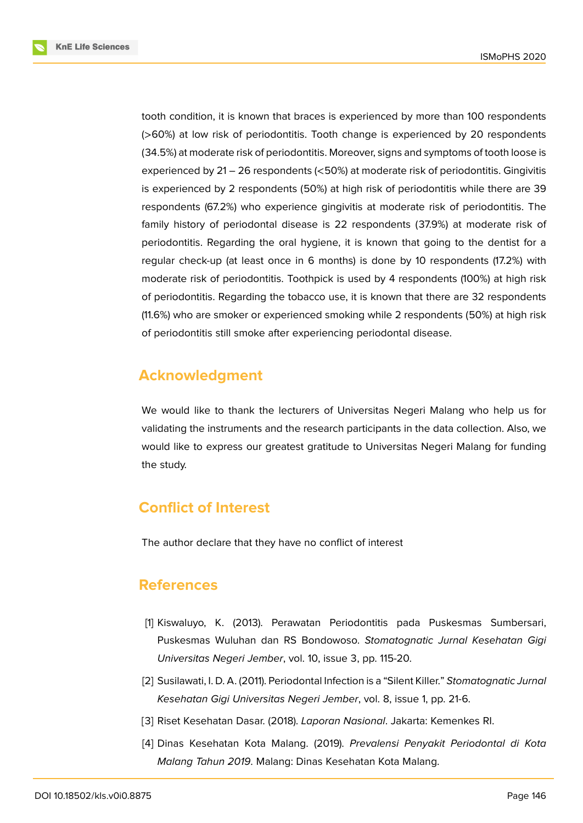**KnE Life Sciences** 



tooth condition, it is known that braces is experienced by more than 100 respondents (>60%) at low risk of periodontitis. Tooth change is experienced by 20 respondents (34.5%) at moderate risk of periodontitis. Moreover, signs and symptoms of tooth loose is experienced by 21 – 26 respondents (<50%) at moderate risk of periodontitis. Gingivitis is experienced by 2 respondents (50%) at high risk of periodontitis while there are 39 respondents (67.2%) who experience gingivitis at moderate risk of periodontitis. The family history of periodontal disease is 22 respondents (37.9%) at moderate risk of periodontitis. Regarding the oral hygiene, it is known that going to the dentist for a regular check-up (at least once in 6 months) is done by 10 respondents (17.2%) with moderate risk of periodontitis. Toothpick is used by 4 respondents (100%) at high risk of periodontitis. Regarding the tobacco use, it is known that there are 32 respondents (11.6%) who are smoker or experienced smoking while 2 respondents (50%) at high risk of periodontitis still smoke after experiencing periodontal disease.

# **Acknowledgment**

We would like to thank the lecturers of Universitas Negeri Malang who help us for validating the instruments and the research participants in the data collection. Also, we would like to express our greatest gratitude to Universitas Negeri Malang for funding the study.

# **Conflict of Interest**

The author declare that they have no conflict of interest

# **References**

- <span id="page-12-0"></span>[1] Kiswaluyo, K. (2013). Perawatan Periodontitis pada Puskesmas Sumbersari, Puskesmas Wuluhan dan RS Bondowoso. *Stomatognatic Jurnal Kesehatan Gigi Universitas Negeri Jember*, vol. 10, issue 3, pp. 115-20.
- [2] Susilawati, I. D. A. (2011). Periodontal Infection is a "Silent Killer." *Stomatognatic Jurnal Kesehatan Gigi Universitas Negeri Jember*, vol. 8, issue 1, pp. 21-6.
- [3] Riset Kesehatan Dasar. (2018). *Laporan Nasional*. Jakarta: Kemenkes RI.
- <span id="page-12-1"></span>[4] Dinas Kesehatan Kota Malang. (2019). *Prevalensi Penyakit Periodontal di Kota Malang Tahun 2019*. Malang: Dinas Kesehatan Kota Malang.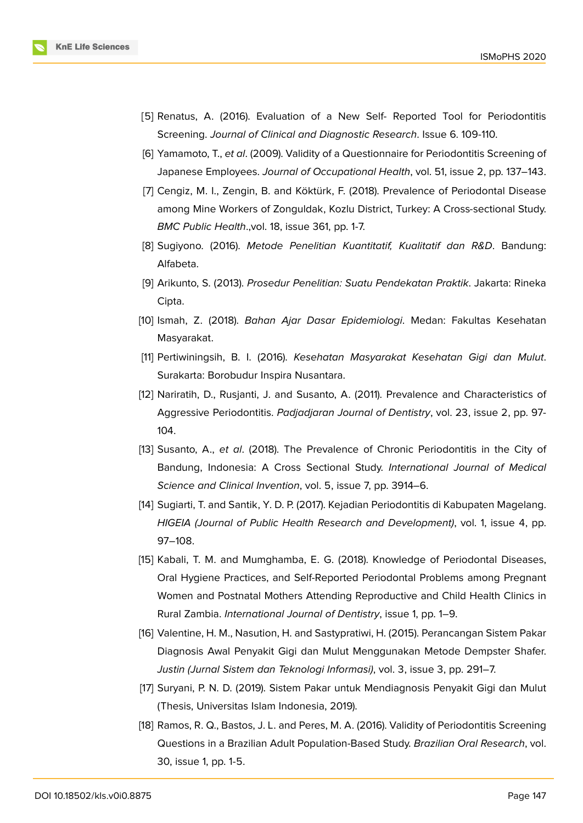

- <span id="page-13-0"></span>[5] Renatus, A. (2016). Evaluation of a New Self- Reported Tool for Periodontitis Screening. *Journal of Clinical and Diagnostic Research*. Issue 6. 109-110.
- <span id="page-13-1"></span>[6] Yamamoto, T., *et al*. (2009). Validity of a Questionnaire for Periodontitis Screening of Japanese Employees. *Journal of Occupational Health*, vol. 51, issue 2, pp. 137–143.
- <span id="page-13-2"></span>[7] Cengiz, M. I., Zengin, B. and Köktürk, F. (2018). Prevalence of Periodontal Disease among Mine Workers of Zonguldak, Kozlu District, Turkey: A Cross-sectional Study. *BMC Public Health*.,vol. 18, issue 361, pp. 1-7.
- <span id="page-13-3"></span>[8] Sugiyono. (2016). *Metode Penelitian Kuantitatif, Kualitatif dan R&D*. Bandung: Alfabeta.
- <span id="page-13-4"></span>[9] Arikunto, S. (2013). *Prosedur Penelitian: Suatu Pendekatan Praktik*. Jakarta: Rineka Cipta.
- <span id="page-13-5"></span>[10] Ismah, Z. (2018). *Bahan Ajar Dasar Epidemiologi*. Medan: Fakultas Kesehatan Masyarakat.
- <span id="page-13-6"></span>[11] Pertiwiningsih, B. I. (2016). *Kesehatan Masyarakat Kesehatan Gigi dan Mulut*. Surakarta: Borobudur Inspira Nusantara.
- <span id="page-13-7"></span>[12] Nariratih, D., Rusjanti, J. and Susanto, A. (2011). Prevalence and Characteristics of Aggressive Periodontitis. *Padjadjaran Journal of Dentistry*, vol. 23, issue 2, pp. 97- 104.
- <span id="page-13-8"></span>[13] Susanto, A., *et al*. (2018). The Prevalence of Chronic Periodontitis in the City of Bandung, Indonesia: A Cross Sectional Study. *International Journal of Medical Science and Clinical Invention*, vol. 5, issue 7, pp. 3914–6.
- <span id="page-13-9"></span>[14] Sugiarti, T. and Santik, Y. D. P. (2017). Kejadian Periodontitis di Kabupaten Magelang. *HIGEIA (Journal of Public Health Research and Development)*, vol. 1, issue 4, pp. 97–108.
- <span id="page-13-10"></span>[15] Kabali, T. M. and Mumghamba, E. G. (2018). Knowledge of Periodontal Diseases, Oral Hygiene Practices, and Self-Reported Periodontal Problems among Pregnant Women and Postnatal Mothers Attending Reproductive and Child Health Clinics in Rural Zambia. *International Journal of Dentistry*, issue 1, pp. 1–9.
- <span id="page-13-11"></span>[16] Valentine, H. M., Nasution, H. and Sastypratiwi, H. (2015). Perancangan Sistem Pakar Diagnosis Awal Penyakit Gigi dan Mulut Menggunakan Metode Dempster Shafer. *Justin (Jurnal Sistem dan Teknologi Informasi)*, vol. 3, issue 3, pp. 291–7.
- [17] Suryani, P. N. D. (2019). Sistem Pakar untuk Mendiagnosis Penyakit Gigi dan Mulut (Thesis, Universitas Islam Indonesia, 2019).
- <span id="page-13-12"></span>[18] Ramos, R. Q., Bastos, J. L. and Peres, M. A. (2016). Validity of Periodontitis Screening Questions in a Brazilian Adult Population-Based Study. *Brazilian Oral Research*, vol. 30, issue 1, pp. 1-5.